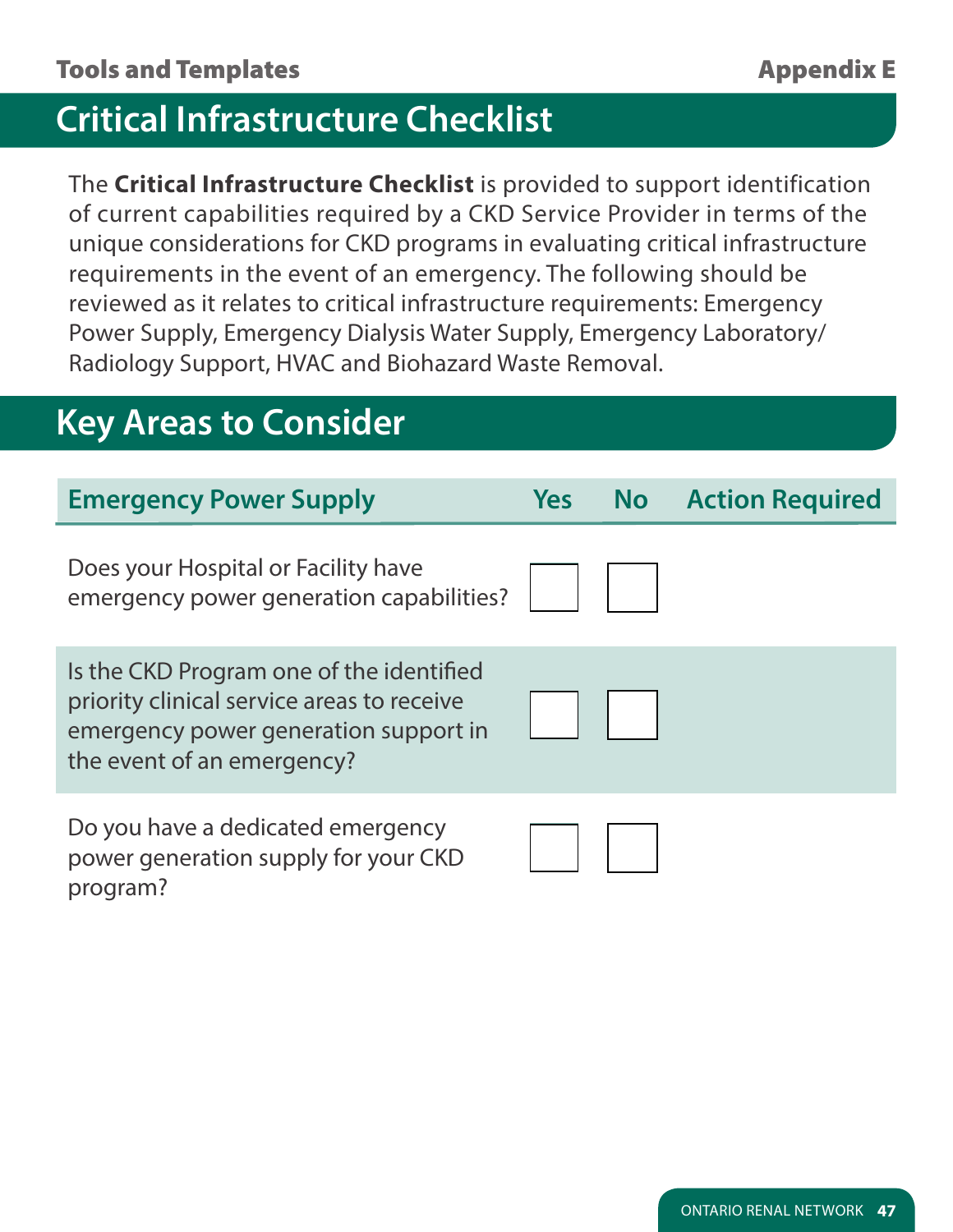### **Critical Infrastructure Checklist**

The **Critical Infrastructure Checklist** is provided to support identification of current capabilities required by a CKD Service Provider in terms of the unique considerations for CKD programs in evaluating critical infrastructure requirements in the event of an emergency. The following should be reviewed as it relates to critical infrastructure requirements: Emergency Power Supply, Emergency Dialysis Water Supply, Emergency Laboratory/ Radiology Support, HVAC and Biohazard Waste Removal.

# **Key Areas to Consider**

program?

| <b>Emergency Power Supply</b>                                                                                                                                 | <b>Yes</b> | <b>No</b> Action Required |
|---------------------------------------------------------------------------------------------------------------------------------------------------------------|------------|---------------------------|
| Does your Hospital or Facility have<br>emergency power generation capabilities?                                                                               |            |                           |
| Is the CKD Program one of the identified<br>priority clinical service areas to receive<br>emergency power generation support in<br>the event of an emergency? |            |                           |
| Do you have a dedicated emergency<br>power generation supply for your CKD                                                                                     |            |                           |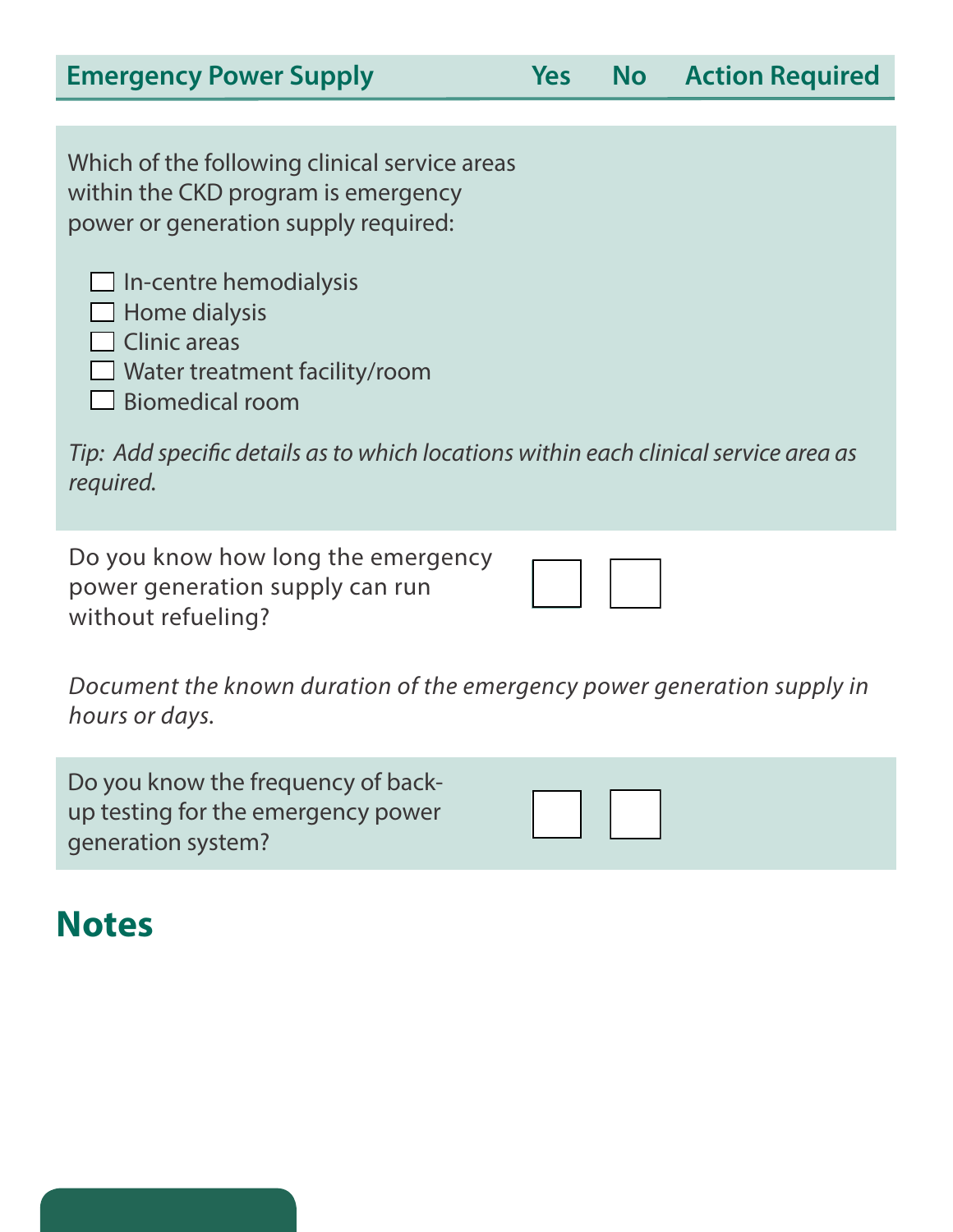| <b>Emergency Power Supply</b>                                                                                                                  | <b>Yes</b> | <b>No</b> Action Required |
|------------------------------------------------------------------------------------------------------------------------------------------------|------------|---------------------------|
|                                                                                                                                                |            |                           |
| Which of the following clinical service areas<br>within the CKD program is emergency<br>power or generation supply required:                   |            |                           |
| $\Box$ In-centre hemodialysis<br>$\Box$ Home dialysis<br>$\Box$ Clinic areas<br>$\Box$ Water treatment facility/room<br>$\Box$ Biomedical room |            |                           |
| Tip: Add specific details as to which locations within each clinical service area as<br>required.                                              |            |                           |
|                                                                                                                                                |            |                           |

Do you know how long the emergency power generation supply can run without refueling?

*Document the known duration of the emergency power generation supply in hours or days.*

Do you know the frequency of backup testing for the emergency power generation system?

# **Notes**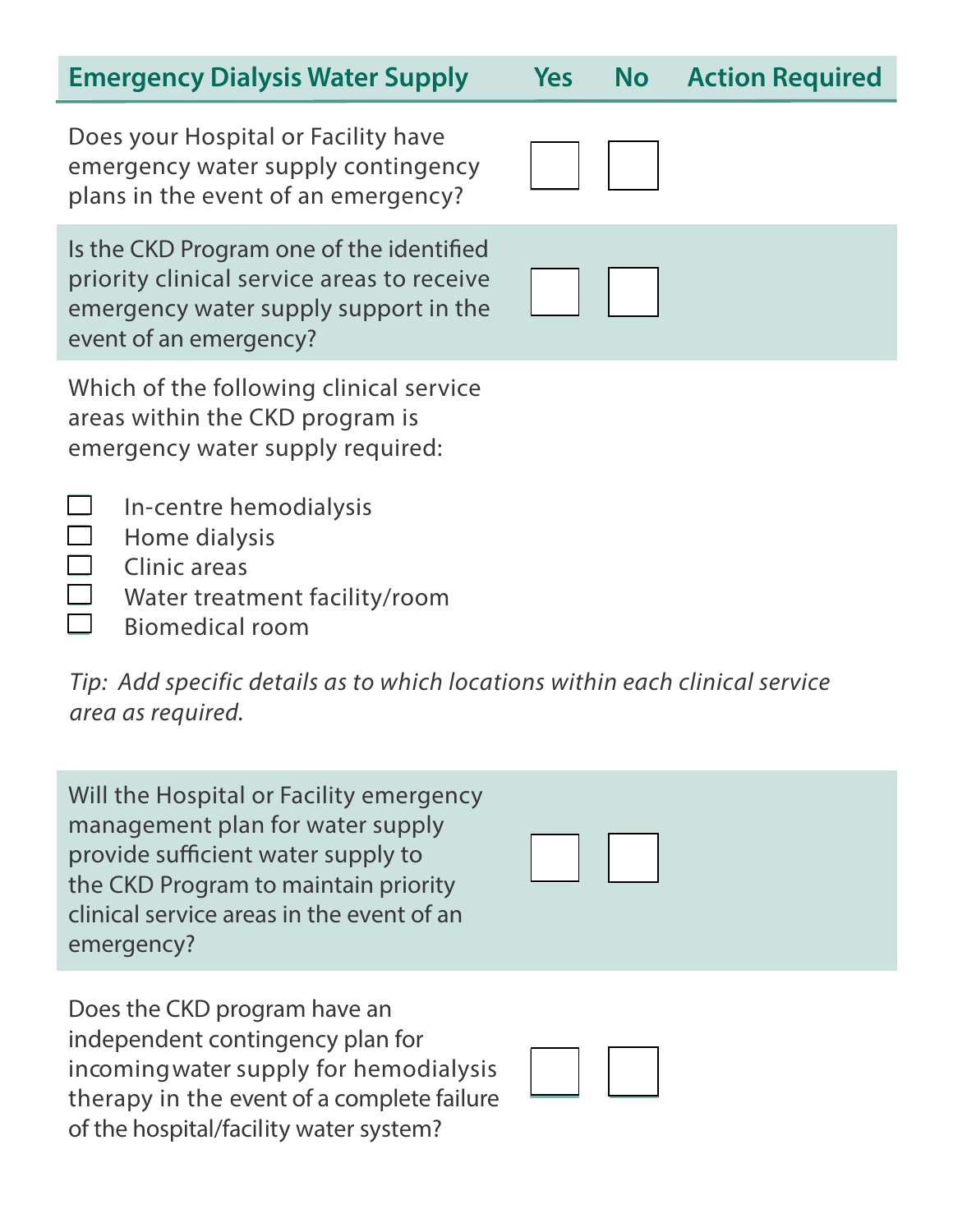#### **Emergency Dialysis Water Supply Yes No**

Does your Hospital or Facility have emergency water supply contingency plans in the event of an emergency?

Is the CKD Program one of the identified priority clinical service areas to receive emergency water supply support in the event of an emergency?

Which of the following clinical service areas within the CKD program is emergency water supply required:

- $\Box$ In-centre hemodialysis
- $\Box$ Home dialysis
- $\overline{\phantom{a}}$ Clinic areas
	- Water treatment facility/room
	- Biomedical room

*Tip: Add specific details as to which locations within each clinical service area as required.*

Will the Hospital or Facility emergency management plan for water supply provide sufficient water supply to the CKD Program to maintain priority clinical service areas in the event of an emergency?

Does the CKD program have an independent contingency plan for incoming water supply for hemodialysis therapy in the event of a complete failure of the hospital/facility water system?



|  |  | <b>Action Required</b> |  |
|--|--|------------------------|--|
|  |  |                        |  |

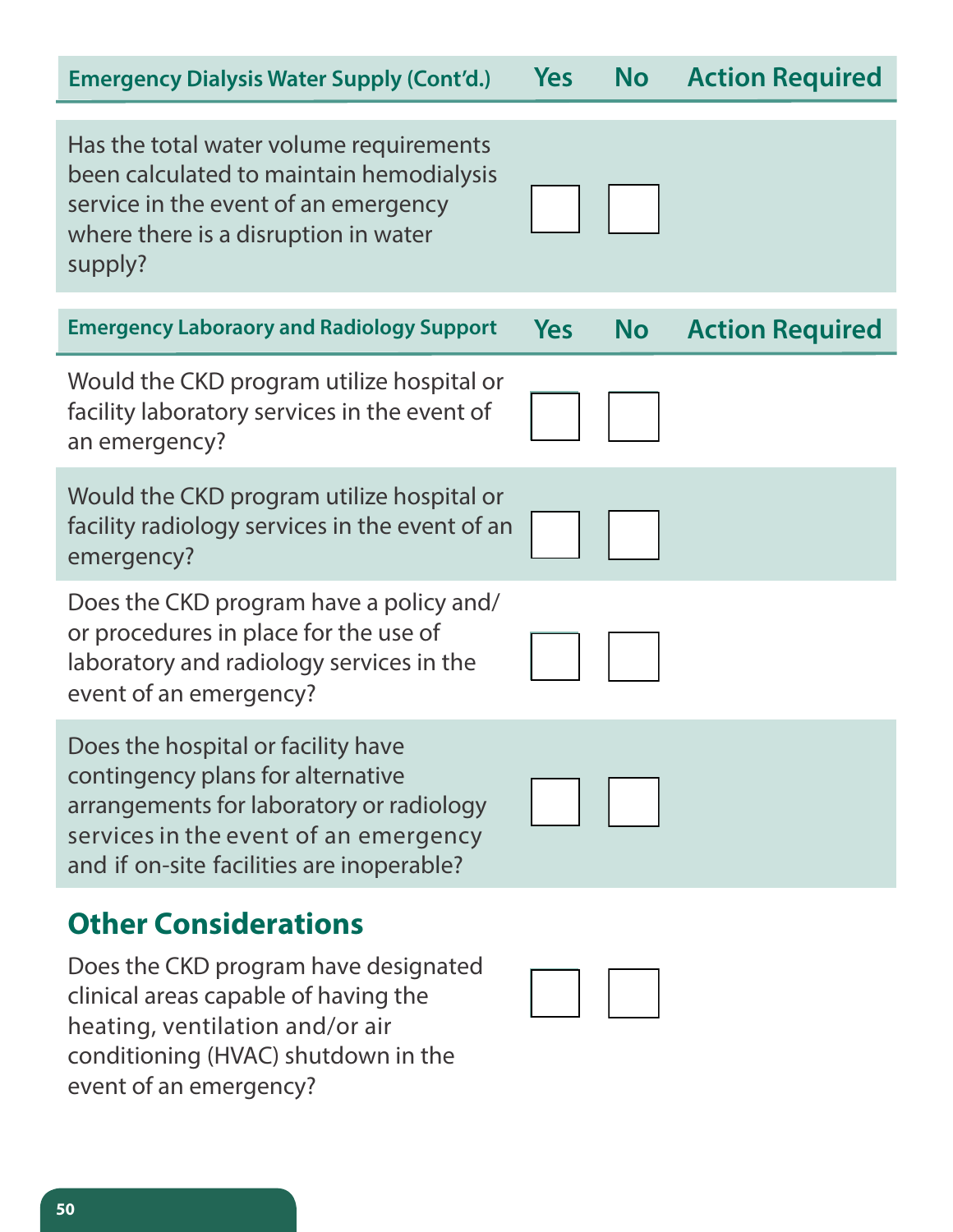| <b>Emergency Dialysis Water Supply (Cont'd.)</b>                                                                                                                                                                | <b>Yes</b> | <b>No</b> | <b>Action Required</b> |
|-----------------------------------------------------------------------------------------------------------------------------------------------------------------------------------------------------------------|------------|-----------|------------------------|
| Has the total water volume requirements<br>been calculated to maintain hemodialysis<br>service in the event of an emergency<br>where there is a disruption in water<br>supply?                                  |            |           |                        |
| <b>Emergency Laboraory and Radiology Support</b>                                                                                                                                                                | <b>Yes</b> | <b>No</b> | <b>Action Required</b> |
| Would the CKD program utilize hospital or<br>facility laboratory services in the event of<br>an emergency?                                                                                                      |            |           |                        |
| Would the CKD program utilize hospital or<br>facility radiology services in the event of an<br>emergency?                                                                                                       |            |           |                        |
| Does the CKD program have a policy and/<br>or procedures in place for the use of<br>laboratory and radiology services in the<br>event of an emergency?                                                          |            |           |                        |
| Does the hospital or facility have<br>contingency plans for alternative<br>arrangements for laboratory or radiology<br>services in the event of an emergency<br>and if on-site facilities are inoperable?       |            |           |                        |
| <b>Other Considerations</b><br>Does the CKD program have designated<br>clinical areas capable of having the<br>heating, ventilation and/or air<br>conditioning (HVAC) shutdown in the<br>event of an emergency? |            |           |                        |